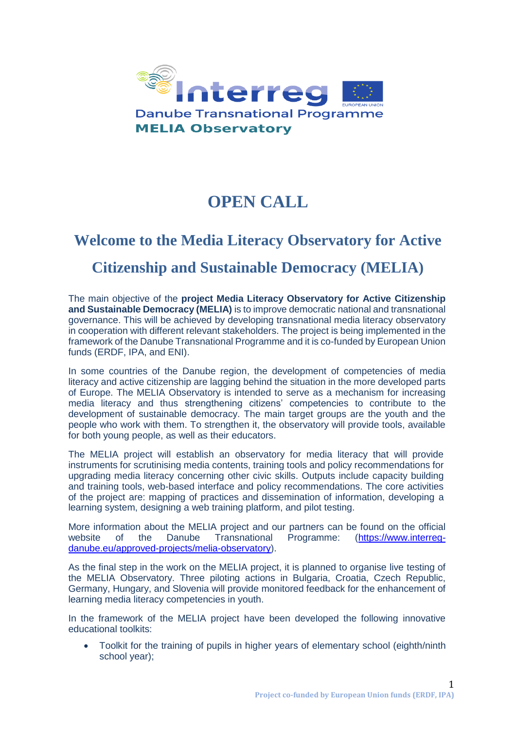

# **OPEN CALL**

# **Welcome to the Media Literacy Observatory for Active Citizenship and Sustainable Democracy (MELIA)**

The main objective of the **project Media Literacy Observatory for Active Citizenship and Sustainable Democracy (MELIA)** is to improve democratic national and transnational governance. This will be achieved by developing transnational media literacy observatory in cooperation with different relevant stakeholders. The project is being implemented in the framework of the Danube Transnational Programme and it is co-funded by European Union funds (ERDF, IPA, and ENI).

In some countries of the Danube region, the development of competencies of media literacy and active citizenship are lagging behind the situation in the more developed parts of Europe. The MELIA Observatory is intended to serve as a mechanism for increasing media literacy and thus strengthening citizens' competencies to contribute to the development of sustainable democracy. The main target groups are the youth and the people who work with them. To strengthen it, the observatory will provide tools, available for both young people, as well as their educators.

The MELIA project will establish an observatory for media literacy that will provide instruments for scrutinising media contents, training tools and policy recommendations for upgrading media literacy concerning other civic skills. Outputs include capacity building and training tools, web-based interface and policy recommendations. The core activities of the project are: mapping of practices and dissemination of information, developing a learning system, designing a web training platform, and pilot testing.

More information about the MELIA project and our partners can be found on the official website of the Danube Transnational Programme: [\(https://www.interreg](https://www.interreg-danube.eu/approved-projects/melia-observatory)[danube.eu/approved-projects/melia-observatory\)](https://www.interreg-danube.eu/approved-projects/melia-observatory).

As the final step in the work on the MELIA project, it is planned to organise live testing of the MELIA Observatory. Three piloting actions in Bulgaria, Croatia, Czech Republic, Germany, Hungary, and Slovenia will provide monitored feedback for the enhancement of learning media literacy competencies in youth.

In the framework of the MELIA project have been developed the following innovative educational toolkits:

• Toolkit for the training of pupils in higher years of elementary school (eighth/ninth school year);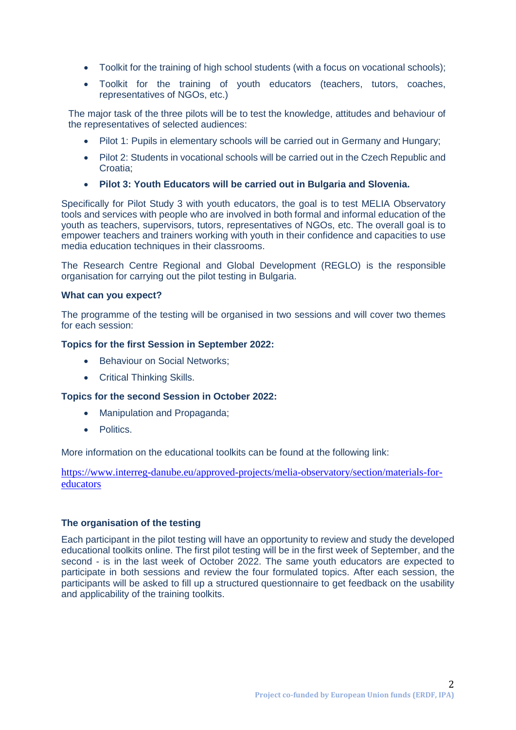- Toolkit for the training of high school students (with a focus on vocational schools);
- Toolkit for the training of youth educators (teachers, tutors, coaches, representatives of NGOs, etc.)

The major task of the three pilots will be to test the knowledge, attitudes and behaviour of the representatives of selected audiences:

- Pilot 1: Pupils in elementary schools will be carried out in Germany and Hungary;
- Pilot 2: Students in vocational schools will be carried out in the Czech Republic and Croatia;
- **Pilot 3: Youth Educators will be carried out in Bulgaria and Slovenia.**

Specifically for Pilot Study 3 with youth educators, the goal is to test MELIA Observatory tools and services with people who are involved in both formal and informal education of the youth as teachers, supervisors, tutors, representatives of NGOs, etc. The overall goal is to empower teachers and trainers working with youth in their confidence and capacities to use media education techniques in their classrooms.

The Research Centre Regional and Global Development (REGLO) is the responsible organisation for carrying out the pilot testing in Bulgaria.

#### **What can you expect?**

The programme of the testing will be organised in two sessions and will cover two themes for each session:

### **Topics for the first Session in September 2022:**

- Behaviour on Social Networks;
- Critical Thinking Skills.

### **Topics for the second Session in October 2022:**

- Manipulation and Propaganda:
- Politics.

More information on the educational toolkits can be found at the following link:

[https://www.interreg-danube.eu/approved-projects/melia-observatory/section/materials-for](https://www.interreg-danube.eu/approved-projects/melia-observatory/section/materials-for-educators)[educators](https://www.interreg-danube.eu/approved-projects/melia-observatory/section/materials-for-educators)

### **The organisation of the testing**

Each participant in the pilot testing will have an opportunity to review and study the developed educational toolkits online. The first pilot testing will be in the first week of September, and the second - is in the last week of October 2022. The same youth educators are expected to participate in both sessions and review the four formulated topics. After each session, the participants will be asked to fill up a structured questionnaire to get feedback on the usability and applicability of the training toolkits.